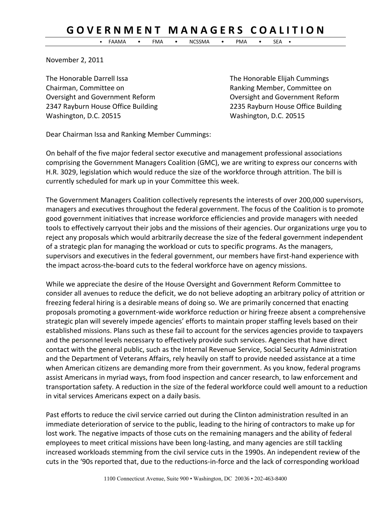## **G O V E R N M E N T M A N A G E R S C O A L I T I O N**

• FAAMA • FMA • NCSSMA • PMA • SEA •

November 2, 2011

The Honorable Darrell Issa The Honorable Elijah Cummings Chairman, Committee on Ranking Member, Committee on Oversight and Government Reform Oversight and Government Reform Washington, D.C. 20515 Washington, D.C. 20515

2347 Rayburn House Office Building 2235 Rayburn House Office Building

Dear Chairman Issa and Ranking Member Cummings:

On behalf of the five major federal sector executive and management professional associations comprising the Government Managers Coalition (GMC), we are writing to express our concerns with H.R. 3029, legislation which would reduce the size of the workforce through attrition. The bill is currently scheduled for mark up in your Committee this week.

The Government Managers Coalition collectively represents the interests of over 200,000 supervisors, managers and executives throughout the federal government. The focus of the Coalition is to promote good government initiatives that increase workforce efficiencies and provide managers with needed tools to effectively carryout their jobs and the missions of their agencies. Our organizations urge you to reject any proposals which would arbitrarily decrease the size of the federal government independent of a strategic plan for managing the workload or cuts to specific programs. As the managers, supervisors and executives in the federal government, our members have first-hand experience with the impact across-the-board cuts to the federal workforce have on agency missions.

While we appreciate the desire of the House Oversight and Government Reform Committee to consider all avenues to reduce the deficit, we do not believe adopting an arbitrary policy of attrition or freezing federal hiring is a desirable means of doing so. We are primarily concerned that enacting proposals promoting a government-wide workforce reduction or hiring freeze absent a comprehensive strategic plan will severely impede agencies' efforts to maintain proper staffing levels based on their established missions. Plans such as these fail to account for the services agencies provide to taxpayers and the personnel levels necessary to effectively provide such services. Agencies that have direct contact with the general public, such as the Internal Revenue Service, Social Security Administration and the Department of Veterans Affairs, rely heavily on staff to provide needed assistance at a time when American citizens are demanding more from their government. As you know, federal programs assist Americans in myriad ways, from food inspection and cancer research, to law enforcement and transportation safety. A reduction in the size of the federal workforce could well amount to a reduction in vital services Americans expect on a daily basis.

Past efforts to reduce the civil service carried out during the Clinton administration resulted in an immediate deterioration of service to the public, leading to the hiring of contractors to make up for lost work. The negative impacts of those cuts on the remaining managers and the ability of federal employees to meet critical missions have been long-lasting, and many agencies are still tackling increased workloads stemming from the civil service cuts in the 1990s. An independent review of the cuts in the '90s reported that, due to the reductions-in-force and the lack of corresponding workload